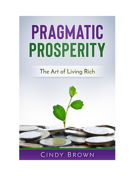# PRAGMATIC PROSPERITY

# The Art of Living Rich

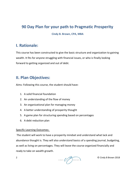## **90 Day Plan for your path to Pragmatic Prosperity**

**Cindy B. Brown, CPA, MBA**

#### **I. Rationale:**

This course has been constructed to give the basic structure and organization to gaining wealth. It fits for anyone struggling with financial issues, or who is finally looking forward to getting organized and out of debt.

## **II. Plan Objectives:**

Aims: Following this course, the student should have:

- 1. A solid financial foundation
- 2. An understanding of the flow of money
- 3. An organizational plan for managing money
- 4. A better understanding of prosperity thought
- 5. A game plan for structuring spending based on percentages
- 6. A debt reduction plan

#### Specific Learning Outcomes:

The student will work to have a prosperity mindset and understand what lack and abundance thought is. They will also understand basics of a spending journal, budgeting, as well as living on percentages. They will leave the course organized financially and ready to take on wealth growth.

 $\overline{C}$  CINDY  $\overline{C}$  BROWN **CINDY** BROWN **CINDY**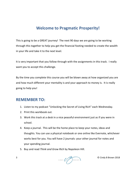## **Welcome to Pragmatic Prosperity!**

This is going to be a GREAT journey! The next 90 days we are going to be working through this together to help you get the financial footing needed to create the wealth in your life and take it to the next level.

It is very important that you follow through with the assignments in this track. I really want you to accept this challenge.

By the time you complete this course you will be blown away at how organized you are and how much different your mentality is and your approach to money is. It is really going to help you!

#### **REMEMBER TO:**

- 1. Listen to my podcast "Unlocking the Secret of Living Rich" each Wednesday.
- 2. Print this workbook out.
- 3. Work this track at a desk in a nice peaceful environment just as if you were in school.
- 4. Keep a journal. This will be the home place to keep your notes, ideas and thoughts. You can use a physical notebook or one online like Evernote, whichever works best for you. You will have 2 journals: your other journal for notes and your spending journal.
- 5. Buy and read *Think and Grow Rich* by Napoleon Hill.

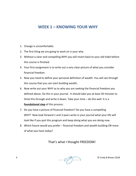## **WEEK 1 – KNOWING YOUR WHY**

- 1. Change is uncomfortable.
- 2. The first thing we are going to work on is your why.
- 3. Without a clear and compelling WHY you will revert back to your old habit before this course is finished.
- 4. Your first assignment is to write out a very clear picture of what you consider financial freedom.
- 5. Now you need to define your personal definition of wealth. You will see through this course that you *can* start building wealth.
- 6. Now write out your WHY as to why you are seeking the financial freedom you defined above. Do this in your journal. It should take you at least 30 minutes to think this through and write it down. Take your time – do this well. It is a **foundational step** of this process.
- 7. Do you have a picture of financial freedom? Do you have a compelling WHY? Now look forward 1 and 3 years write in your journal what your life will look like if you quit this program and keep doing what you are doing now.
- 8. Which future would you prefer financial freedom and wealth building OR more of what you have today?

#### That's what I thought FREEDOM!

**4** CINDY (PEROWN) **COLORED BROWN**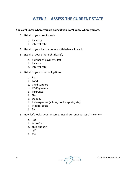## **WEEK 2 – ASSESS THE CURRENT STATE**

**You can't know where you are going if you don't know where you are.**

- 1. List all of your credit cards
	- a. balances
	- b. interest rate
- 2. List all of your bank accounts with balance in each.
- 3. List all of your other debt (loans),
	- a. number of payments left
	- b. balance
	- c. interest rate
- 4. List all of your other obligations:
	- a. Rent
	- b. Food
	- c. Child Support
	- d. IRS Payments
	- e. Insurance
	- f. Gas
	- g. Utilities
	- h. Kids expenses (school, books, sports, etc)
	- i. Medical costs
	- j. Etc
- 5. Now let's look at your income. List all current sources of income
	- a. job
	- b. tax refund
	- c. child support
	- d. gifts
	- e. etc

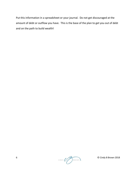Put this information in a spreadsheet or your journal. Do not get discouraged at the amount of debt or outflow you have. This is the base of the plan to get you out of debt and on the path to build wealth!

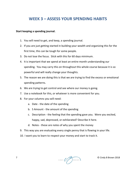## **WEEK 3 – ASSESS YOUR SPENDING HABITS**

#### **Start keeping a spending journal.**

- 1. You will need to get, and keep, a spending journal.
- 2. If you are just getting started in building your wealth and organizing this for the first time, this can be tough for some people.
- 3. Do not lose the focus. Stick with this for 60 days minimum.
- 4. It is important that we spend at least an entire month understanding our spending. You may carry this on throughout this whole course because it is so powerful and will really change your thoughts.
- 5. The reason we are doing this is that we are trying to find the excess or emotional spending patterns.
- 6. We are trying to get control and see where our money is going.
- 7. Use a notebook for this, or whatever is more convenient for you.
- 8. For your columns you will need:
	- a. Date the date of the spending
	- b. S Amount the amount of the spending
	- c. Description the feeling that the spending gave you. Were you excited, happy, sad, depressed, or exhilarated? Describe it here.
	- d. Notes these are notes of why you spent the money
- 9. This way you are evaluating every single penny that is flowing in your life.
- 10. I want you to learn to respect your money and start to track it.

 $T$  © Cindy B Brown 2018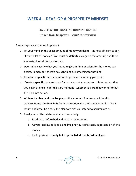#### **WEEK 4 – DEVELOP A PROSPERITY MINDSET**

#### **SIX STEPS FOR CREATING BURNING DESIRE Taken from Chapter 1 –** *Think & Grow Rich*

These steps are extremely important.

- 1. Fix your mind on the exact amount of money you desire. It is not sufficient to say, "I want a lot of money." You must be **definite** as regards the amount, and there are metaphysical reasons for this.
- 2. Determine e**xactly** what you intend to give in time or talent for the money you desire. Remember, there's no such thing as something for nothing
- 3. Establish a **specific date** you intend to possess the money you desire
- 4. Create a **specific date and plan** for carrying out your desire. It is important that you begin at once - right this very moment - whether you are ready or not to put this plan into action.
- 5. Write out a **clear and concise plan** of the amount of money you intend to acquire. Name the **time limit** for its acquisition, state what you intend to give in return and describe clearly the plan to which you intend to accumulate it.
- 6. Read your written statement aloud twice daily.
	- a. Read once before bed and once in the morning.
	- b. As you read it, see it, feel and imagine yourself already in possession of the money.
	- c. It's important to **really build up the belief that is inside of you**.

8  $\bigcirc$  CINDY  $\bigcirc$  BROWN **CINDY** BROWN **CINDY**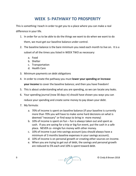## **WEEK 5- PATHWAY TO PROSPERITY**

This is something I teach in order to get you to a place where you can make a real difference in your life.

- 1. In order for us to be able to do the things we want to do when we want to do them, we must get our baseline balance under control.
- 2. The baseline balance is the bare minimum you need each month to live on. It is a subset of all the times you listed in WEEK TWO as necessary:
	- a. Food
	- b. Shelter
	- c. Transportation
	- d. Health Care
- 3. Minimum payments on debt obligations
- 4. In order to create the pathway you must **lower your spending or increase your income** to cover the baseline balance; and then you have freedom!
- 5. This is about understanding what you are spending, so we can locate any leaks.
- 6. Your spending journal (now 30 days in) should have shown you ways you can reduce your spending and create some money to pay down your debt.
- 7. My formula:
	- a. 70% of income is spent on baseline balance (if your baseline is currently more than 70% you will have to make some hard decisions on what is deemed "necessary" or find ways to bring in more money)
	- b. 10% of income is spent on fun  $-$  fun is always taken out and spent as cash. If you are saving for a trip or big fun event, put the cash in a safe place. NEVER co -mingle fun money with other money.
	- c. 10% of income is put into savings account (you should always have a minimum of 3 months baseline expenses in your savings account).
	- d. 10% of income is on personal growth or creating other sources on income.
	- e. When you are trying to get out of debt, the savings and personal growth are reduced to 5% each and 10% is spent toward debt.

9  $\bigcirc$  CINDY  $\bigcirc$  BROWN **CINDY**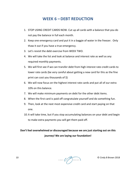#### **WEEK 6 –DEBT REDUCTION**

- 1. STOP USING CREDIT CARDS NOW. Cut up all cards with a balance that you do not pay the balance in full each month.
- 2. Keep one emergency card and put it in a baggie of water in the freezer. Only thaw it out if you have a true emergency.
- 3. Let's revisit the debt exercise from WEEK TWO.
- 4. We will take the list and look at balance and interest rate as well as any required monthly payments.
- 5. We will first see if we can transfer debt from high interest rate credit cards to lower rate cards (be very careful about getting a new card for this as the fine print can cost you thousands of \$)
- 6. We will now focus on the highest interest rate cards and put all of our extra 10% on this balance.
- 7. We will make minimum payments on debt for the other debt items.
- 8. When the first card is paid off congratulate yourself and do something fun.
- 9. Then, look at the next most expensive credit card and start paying on that one.
- 10.It will take time, but if you stop accumulating balances on your debt and begin to make extra payments you will get them paid off.

#### **Don't feel overwhelmed or discouraged because we are just starting out on this journey! We are laying our foundation!**

10  $\bigcirc$  CINDY  $\bigcirc$  BROWN **CINDY**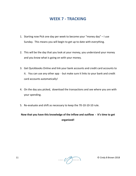#### **WEEK 7 - TRACKING**

- 1. Starting now Pick one day per week to become your "money day" I use Sunday. This means you will begin to get up to date with everything.
- 2. This will be the day that you look at your money, you understand your money and you know what is going on with your money.
- 3. Get Quickbooks Online and link your bank accounts and credit card accounts to it. You can use any other app - but make sure it links to your bank and credit card accounts automatically!
- 4. On the day you picked, download the transactions and see where you are with your spending.
- 5. Re-evaluate and shift as necessary to keep the 70-10-10-10 rule.

**Now that you have this knowledge of the inflow and outflow - It's time to get organized!**

11  $\bigcirc$  CINDY  $\bigcirc$  BROWN **CINDY** BROWN **CINDY**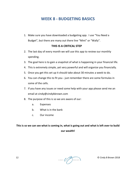#### **WEEK 8 - BUDGETING BASICS**

1. Make sure you have downloaded a budgeting app. I use "You Need a Budget", but there are many out there line "Mint" or "Wally".

#### **THIS IS A CRITICAL STEP**

- 2. The last day of every month we will use this app to review our monthly spending.
- 3. The goal here is to gain a snapshot of what is happening in your financial life.
- 4. This is extremely simple, yet very powerful and will organize you financially.
- 5. Once you get this set up it should take about 30 minutes a week to do.
- 6. You can change this to fit you just remember there are some formulas in some of the cells.
- 7. If you have any issues or need some help with your app please send me an email at cindy@cindybbrown.com
- 8. The purpose of this is so we are aware of our:
	- a. Expenses
	- b. What is in the bank
	- c. Our income

#### **This is so we can see what is coming in, what is going out and what is left over to build our wealth!**

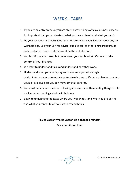#### **WEEK 9 - TAXES**

- 1. If you are an entrepreneur, you are able to write things off as a business expense. It's important that you understand what you can write off and what you can't.
- 2. Do your research and learn about the tax rates where you live and about any tax withholdings. Use your CPA for advice, but also talk to other entrepreneurs, do some online research to stay current on these deductions.
- 3. You MUST pay your taxes, but understand your tax bracket. It's time to take control of your finances.
- 4. We want to understand taxes and understand how they work.
- 5. Understand what you are paying and make sure you set enough aside. Entrepreneurs do receive quite a few breaks so if you are able to structure yourself as a business you can may some tax benefits.
- 6. You must understand the idea of having a business and then writing things off. As well as understanding certain withholdings.
- 7. Begin to understand the taxes where you live: understand what you are paying and what you can write off so start to research this.

**Pay to Caesar what is Caesar's is a changed mindset. Pay your bills on time!**

13  $\bigcirc$  CINDY  $\bigcirc$  BROWN **CINDY**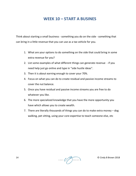#### **WEEK 10 – START A BUSINES**

Think about starting a small business - something you do on the side - something that can bring in a little revenue that you can use as a tax vehicle for you.

- 1. What are your options to do something on the side that could bring in some extra revenue for you?
- 2. List some examples of what different things can generate revenue if you need help just go online and type in "side hustle ideas".
- 3. Then it is about earning enough to cover your 70%.
- 4. Focus on what you can do to create residual and passive income streams to cover the nut balance.
- 5. Once you have residual and passive income streams you are free to do whatever you like.
- 6. The more specialized knowledge that you have the more opportunity you have which allows you to create wealth.
- 7. There are literally thousands of things you can do to make extra money dog walking, pet sitting, using your core expertise to teach someone else, etc

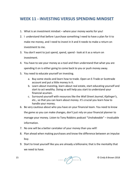#### **WEEK 11 - INVESTING VERSUS SPENDING MINDSET**

- 1. What is an investment mindset where your money works for you!
- 2. I understand that before I purchase something I need to have a plan for it to make me money, and I need to invest in it and it needs to make a return on investment to me.
- 3. You don't want to just spend, spend, spend look at it as a return on investment.
- 4. You have to see your money as a tool and then understand that what you are spending it on is either going to come back to you or push money away.
- 5. You need to educate yourself on investing.
	- a. Buy some stocks and learn how to trade. Open an E-Trade or Scottrade account and put a little money in it.
	- b. Learn about investing, learn about real estate, start educating yourself and start to act wealthy. Doing so will help you start to understand your financial acumen.
	- c. Surround yourself with resources like the *Wall Street Journal*, *Kiplinger's*, etc., so that you can learn about money. It's crucial you learn how to handle your money.
- 6. Be very cautious about who you have on your financial team. You need to know the game so you can make changes, don't just rely on your financial planner to manage your money. Listen to Tony Robbins podcast "Unshakeable" – invaluable information.
- 7. No one will be a better caretaker of your money than you will!
- 8. Plan ahead when making purchases and know the difference between an impulse buy.
- 9. Start to treat yourself like you are already a billionaire; that is the mentality that we need to have.

15  $\bigcirc$  CINDY  $\bigcirc$  BROWN **CINDY**  $\bigcirc$  BROWN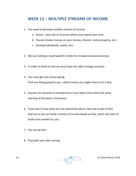#### **WEEK 12 – MULTIPLE STREAMS OF INCOME**

- 1. You need to develop multiple streams of income.
	- a. Active your job or business where your spend your time
	- b. Passive (makes money on your money, interest, rental property, etc)
	- c. Residual (dividends, stocks, etc)
- 2. We are looking to build wealth in both the residual and passive areas.
- 3. In order to build to that we must have the right strategy and plan.
- 4. You must get one stream going. Find one thing going for you - which means you might have to try a few.
- 5. Anyone can become an entrepreneur it just takes some time and some learning of the basics of business.
- 6. If you don't know what you are passionate about, then we've got to find that out so we can build a stream of income based on that, which will start to build some wealth for you.
- 7. You can do this!
- 8. Pray with your feet moving